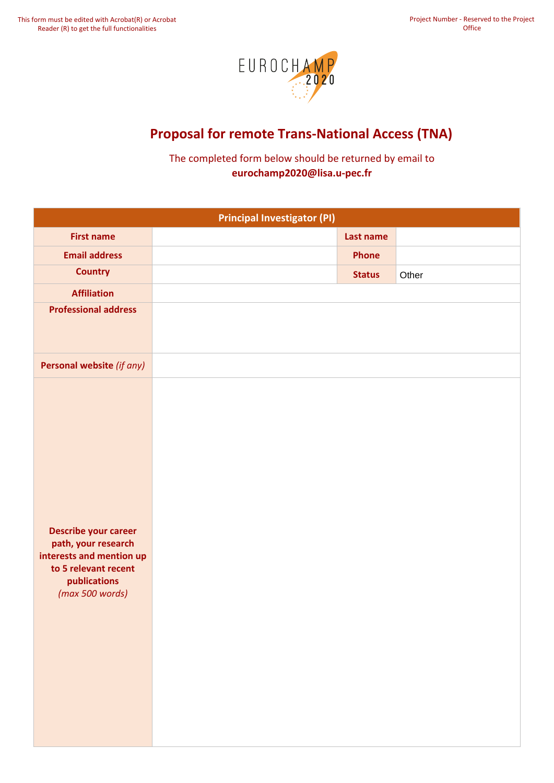

## **Proposal for remote Trans‐National Access (TNA)**

The completed form below should be returned by email to **eurochamp2020@lisa.u-pec.fr**

|                                                                                                                                           | <b>Principal Investigator (PI)</b> |               |       |
|-------------------------------------------------------------------------------------------------------------------------------------------|------------------------------------|---------------|-------|
| <b>First name</b>                                                                                                                         |                                    | Last name     |       |
| <b>Email address</b>                                                                                                                      |                                    | Phone         |       |
| <b>Country</b>                                                                                                                            |                                    | <b>Status</b> | Other |
| <b>Affiliation</b>                                                                                                                        |                                    |               |       |
| <b>Professional address</b>                                                                                                               |                                    |               |       |
| Personal website (if any)                                                                                                                 |                                    |               |       |
| <b>Describe your career</b><br>path, your research<br>interests and mention up<br>to 5 relevant recent<br>publications<br>(max 500 words) |                                    |               |       |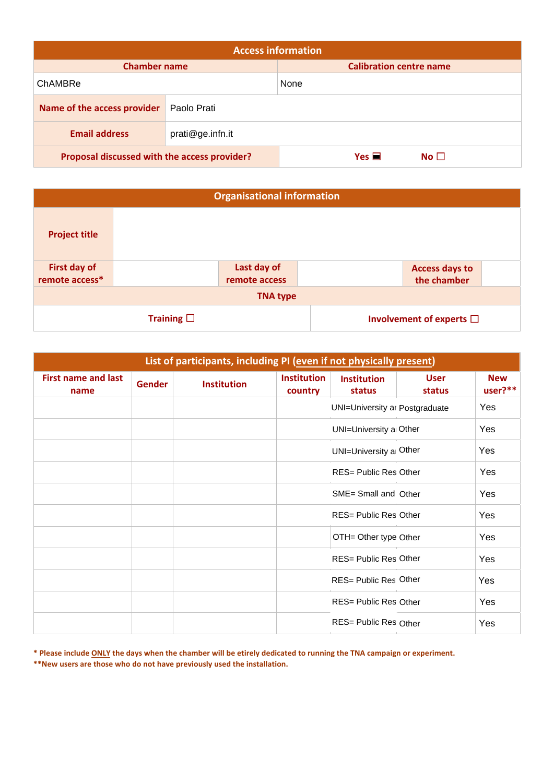|                                              |                  | <b>Access information</b>      |                 |
|----------------------------------------------|------------------|--------------------------------|-----------------|
| <b>Chamber name</b>                          |                  | <b>Calibration centre name</b> |                 |
| ChAMBRe                                      |                  | None                           |                 |
| Name of the access provider                  | Paolo Prati      |                                |                 |
| <b>Email address</b>                         | prati@ge.infn.it |                                |                 |
| Proposal discussed with the access provider? |                  | Yes $\blacksquare$             | No <sub>1</sub> |

|                      |                    | <b>Organisational information</b> |                                  |  |
|----------------------|--------------------|-----------------------------------|----------------------------------|--|
| <b>Project title</b> |                    |                                   |                                  |  |
| First day of         |                    | Last day of                       | <b>Access days to</b>            |  |
| remote access*       |                    | remote access                     | the chamber                      |  |
|                      |                    | <b>TNA type</b>                   |                                  |  |
|                      | Training $\square$ |                                   | Involvement of experts $\square$ |  |

| List of participants, including PI (even if not physically present) |               |                    |                               |                                |                       |                       |
|---------------------------------------------------------------------|---------------|--------------------|-------------------------------|--------------------------------|-----------------------|-----------------------|
| <b>First name and last</b><br>name                                  | <b>Gender</b> | <b>Institution</b> | <b>Institution</b><br>country | <b>Institution</b><br>status   | <b>User</b><br>status | <b>New</b><br>user?** |
|                                                                     |               |                    |                               | UNI=University ar Postgraduate |                       | Yes                   |
|                                                                     |               |                    |                               | UNI=University a Other         |                       | Yes                   |
|                                                                     |               |                    |                               | UNI=University a Other         |                       | Yes                   |
|                                                                     |               |                    |                               | RES= Public Res Other          |                       | Yes                   |
|                                                                     |               |                    |                               | SME= Small and Other           |                       | Yes                   |
|                                                                     |               |                    |                               | RES= Public Res Other          |                       | Yes                   |
|                                                                     |               |                    |                               | OTH= Other type Other          |                       | Yes                   |
|                                                                     |               |                    |                               | RES= Public Res Other          |                       | Yes                   |
|                                                                     |               |                    |                               | RES= Public Res Other          |                       | Yes                   |
|                                                                     |               |                    |                               | RES= Public Res Other          |                       | Yes                   |
|                                                                     |               |                    |                               | RES= Public Res Other          |                       | Yes                   |

**\* Please include ONLY the days when the chamber will be etirely dedicated to running the TNA campaign or experiment.**

**\*\*New users are those who do not have previously used the installation.**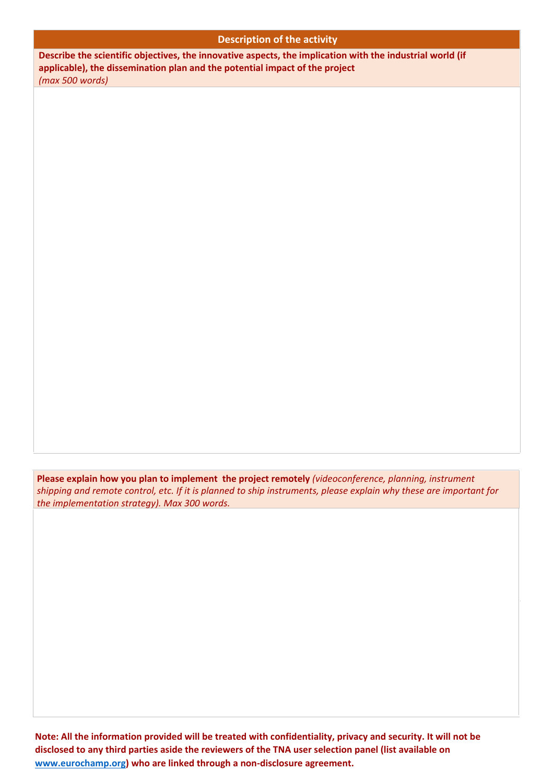## **Description of the activity**

**Describe the scientific objectives, the innovative aspects, the implication with the industrial world (if applicable), the dissemination plan and the potential impact of the project**  *(max 500 words)*

**Please explain how you plan to implement the project remotely** *(videoconference, planning, instrument shipping and remote control, etc. If it is planned to ship instruments, please explain why these are important for the implementation strategy). Max 300 words.*

Note: All the information provided will be treated with confidentiality, privacy and security. It will not be **disclosed to any third parties aside the reviewers of the TNA user selection panel (list available on www.eurochamp.org) who are linked through a non‐disclosure agreement.**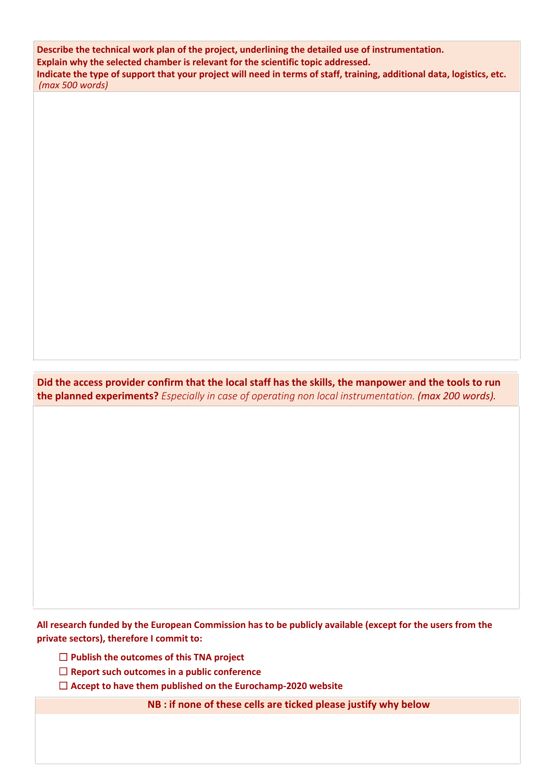*(max 500 words)* **Describe the technical work plan of the project, underlining the detailed use of instrumentation. Explain why the selected chamber is relevant for the scientific topic addressed. Indicate the type of support that your project will need in terms of staff, training, additional data, logistics, etc.**

**Did the access provider confirm that the local staff has the skills, the manpower and the tools to run the planned experiments?** *Especially in case of operating non local instrumentation. (max 200 words).*

All research funded by the European Commission has to be publicly available (except for the users from the **private sectors), therefore I commit to:**

- ☐ **Publish the outcomes of this TNA project**
- ☐ **Report such outcomes in a public conference**
- ☐ **Accept to have them published on the Eurochamp‐2020 website**

**NB : if none of these cells are ticked please justify why below**